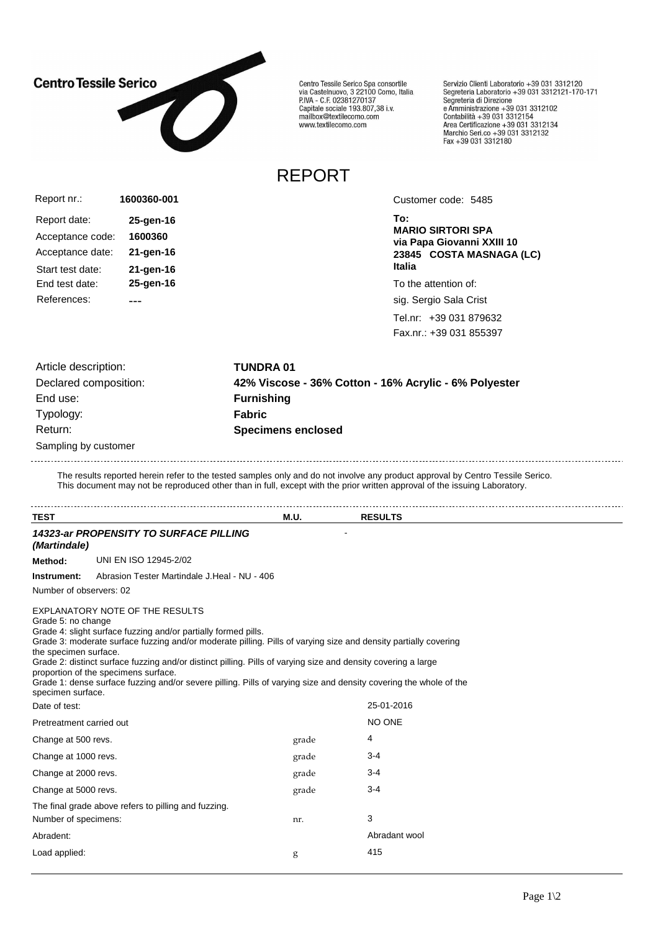

Centro Tessile Serico Spa consortile<br>via Castelnuovo, 3 22100 Como, Italia<br>P.IVA - C.F. 02381270137 Capitale sociale 193.807,38 i.v. mailbox@textilecomo.com www.textilecomo.com

REPORT

Servizio Clienti Laboratorio +39 031 3312120<br>Segreteria Laboratorio +39 031 3312121-170-171<br>Segreteria di Direzione Segreteria di Direzione<br>e Amministrazione +39 031 3312102<br>Contabilità +39 031 3312154<br>Area Certificazione +39 031 3312134<br>Marchio Seri.co +39 031 3312132<br>Fax +39 031 3312180

Acceptance code: **1600360** Report nr.: Report date: **25-gen-16** Acceptance date: **21-gen-16 1600360-001** Start test date: **21-gen-16** End test date: **25-gen-16** References: ---

Customer code: 5485

**To: MARIO SIRTORI SPA via Papa Giovanni XXIII 10 23845 COSTA MASNAGA (LC) Italia**

To the attention of:

sig. Sergio Sala Crist

Tel.nr: +39 031 879632 Fax.nr.: +39 031 855397

| Article description:  | <b>TUNDRA 01</b>                                      |
|-----------------------|-------------------------------------------------------|
| Declared composition: | 42% Viscose - 36% Cotton - 16% Acrylic - 6% Polyester |
| End use:              | <b>Furnishing</b>                                     |
| Typology:             | <b>Fabric</b>                                         |
| Return:               | <b>Specimens enclosed</b>                             |
| Sampling by customer  |                                                       |

The results reported herein refer to the tested samples only and do not involve any product approval by Centro Tessile Serico. This document may not be reproduced other than in full, except with the prior written approval of the issuing Laboratory.

| <b>TEST</b>                                                      |                                                                                                                                                                                                                                                                                                                                                                                                                                                                                                    | M.U.  | <b>RESULTS</b> |  |
|------------------------------------------------------------------|----------------------------------------------------------------------------------------------------------------------------------------------------------------------------------------------------------------------------------------------------------------------------------------------------------------------------------------------------------------------------------------------------------------------------------------------------------------------------------------------------|-------|----------------|--|
| (Martindale)                                                     | 14323-ar PROPENSITY TO SURFACE PILLING                                                                                                                                                                                                                                                                                                                                                                                                                                                             |       |                |  |
| Method:                                                          | UNI EN ISO 12945-2/02                                                                                                                                                                                                                                                                                                                                                                                                                                                                              |       |                |  |
| Instrument:                                                      | Abrasion Tester Martindale J.Heal - NU - 406                                                                                                                                                                                                                                                                                                                                                                                                                                                       |       |                |  |
| Number of observers: 02                                          |                                                                                                                                                                                                                                                                                                                                                                                                                                                                                                    |       |                |  |
| Grade 5: no change<br>the specimen surface.<br>specimen surface. | EXPLANATORY NOTE OF THE RESULTS<br>Grade 4: slight surface fuzzing and/or partially formed pills.<br>Grade 3: moderate surface fuzzing and/or moderate pilling. Pills of varying size and density partially covering<br>Grade 2: distinct surface fuzzing and/or distinct pilling. Pills of varying size and density covering a large<br>proportion of the specimens surface.<br>Grade 1: dense surface fuzzing and/or severe pilling. Pills of varying size and density covering the whole of the |       |                |  |
| Date of test:                                                    |                                                                                                                                                                                                                                                                                                                                                                                                                                                                                                    |       | 25-01-2016     |  |
| Pretreatment carried out                                         |                                                                                                                                                                                                                                                                                                                                                                                                                                                                                                    |       | NO ONE         |  |
| Change at 500 revs.                                              |                                                                                                                                                                                                                                                                                                                                                                                                                                                                                                    | grade | 4              |  |
| Change at 1000 revs.                                             |                                                                                                                                                                                                                                                                                                                                                                                                                                                                                                    | grade | $3 - 4$        |  |
| Change at 2000 revs.                                             |                                                                                                                                                                                                                                                                                                                                                                                                                                                                                                    | grade | $3 - 4$        |  |
| Change at 5000 revs.                                             |                                                                                                                                                                                                                                                                                                                                                                                                                                                                                                    | grade | $3 - 4$        |  |
| Number of specimens:                                             | The final grade above refers to pilling and fuzzing.                                                                                                                                                                                                                                                                                                                                                                                                                                               | nr.   | 3              |  |
| Abradent:                                                        |                                                                                                                                                                                                                                                                                                                                                                                                                                                                                                    |       | Abradant wool  |  |
| Load applied:                                                    |                                                                                                                                                                                                                                                                                                                                                                                                                                                                                                    | g     | 415            |  |